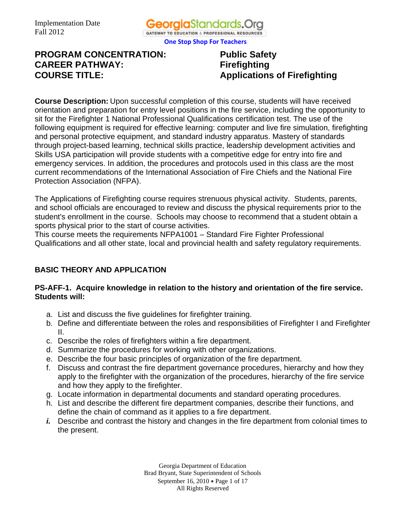

# **PROGRAM CONCENTRATION: Public Safety CAREER PATHWAY: Firefighting COURSE TITLE:** Applications of Firefighting

**Course Description:** Upon successful completion of this course, students will have received orientation and preparation for entry level positions in the fire service, including the opportunity to sit for the Firefighter 1 National Professional Qualifications certification test. The use of the following equipment is required for effective learning: computer and live fire simulation, firefighting and personal protective equipment, and standard industry apparatus. Mastery of standards through project-based learning, technical skills practice, leadership development activities and Skills USA participation will provide students with a competitive edge for entry into fire and emergency services. In addition, the procedures and protocols used in this class are the most current recommendations of the International Association of Fire Chiefs and the National Fire Protection Association (NFPA).

The Applications of Firefighting course requires strenuous physical activity. Students, parents, and school officials are encouraged to review and discuss the physical requirements prior to the student's enrollment in the course. Schools may choose to recommend that a student obtain a sports physical prior to the start of course activities.

This course meets the requirements NFPA1001 – Standard Fire Fighter Professional Qualifications and all other state, local and provincial health and safety regulatory requirements.

# **BASIC THEORY AND APPLICATION**

### **PS-AFF-1. Acquire knowledge in relation to the history and orientation of the fire service. Students will:**

- a. List and discuss the five guidelines for firefighter training.
- b. Define and differentiate between the roles and responsibilities of Firefighter I and Firefighter II.
- c. Describe the roles of firefighters within a fire department.
- d. Summarize the procedures for working with other organizations.
- e. Describe the four basic principles of organization of the fire department.
- f. Discuss and contrast the fire department governance procedures, hierarchy and how they apply to the firefighter with the organization of the procedures, hierarchy of the fire service and how they apply to the firefighter.
- g. Locate information in departmental documents and standard operating procedures.
- h. List and describe the different fire department companies, describe their functions, and define the chain of command as it applies to a fire department.
- *i.* Describe and contrast the history and changes in the fire department from colonial times to the present.

Georgia Department of Education Brad Bryant, State Superintendent of Schools September 16, 2010 • Page 1 of 17 All Rights Reserved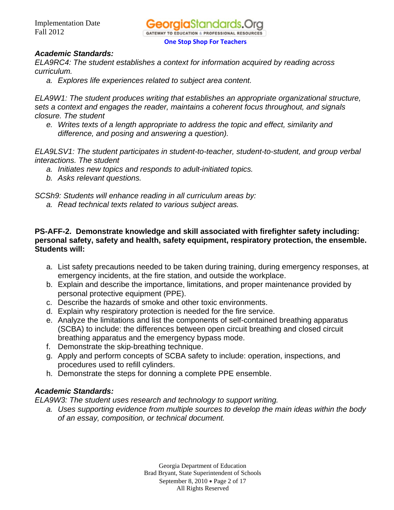

*ELA9RC4: The student establishes a context for information acquired by reading across curriculum.* 

*a. Explores life experiences related to subject area content.* 

*ELA9W1: The student produces writing that establishes an appropriate organizational structure, sets a context and engages the reader, maintains a coherent focus throughout, and signals closure. The student* 

*e. Writes texts of a length appropriate to address the topic and effect, similarity and difference, and posing and answering a question).* 

*ELA9LSV1: The student participates in student-to-teacher, student-to-student, and group verbal interactions. The student* 

- *a. Initiates new topics and responds to adult-initiated topics.*
- *b. Asks relevant questions.*

*SCSh9: Students will enhance reading in all curriculum areas by:* 

*a. Read technical texts related to various subject areas.*

### **PS-AFF-2. Demonstrate knowledge and skill associated with firefighter safety including: personal safety, safety and health, safety equipment, respiratory protection, the ensemble. Students will:**

- a. List safety precautions needed to be taken during training, during emergency responses, at emergency incidents, at the fire station, and outside the workplace.
- b. Explain and describe the importance, limitations, and proper maintenance provided by personal protective equipment (PPE).
- c. Describe the hazards of smoke and other toxic environments.
- d. Explain why respiratory protection is needed for the fire service.
- e. Analyze the limitations and list the components of self-contained breathing apparatus (SCBA) to include: the differences between open circuit breathing and closed circuit breathing apparatus and the emergency bypass mode.
- f. Demonstrate the skip-breathing technique.
- g. Apply and perform concepts of SCBA safety to include: operation, inspections, and procedures used to refill cylinders.
- h. Demonstrate the steps for donning a complete PPE ensemble.

### *Academic Standards:*

*ELA9W3: The student uses research and technology to support writing.* 

*a. Uses supporting evidence from multiple sources to develop the main ideas within the body of an essay, composition, or technical document.*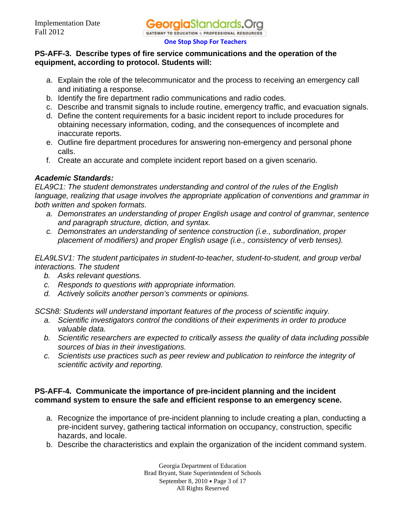### **PS-AFF-3. Describe types of fire service communications and the operation of the equipment, according to protocol. Students will:**

- a. Explain the role of the telecommunicator and the process to receiving an emergency call and initiating a response.
- b. Identify the fire department radio communications and radio codes.
- c. Describe and transmit signals to include routine, emergency traffic, and evacuation signals.
- d. Define the content requirements for a basic incident report to include procedures for obtaining necessary information, coding, and the consequences of incomplete and inaccurate reports.
- e. Outline fire department procedures for answering non-emergency and personal phone calls.
- f. Create an accurate and complete incident report based on a given scenario.

# *Academic Standards:*

*ELA9C1: The student demonstrates understanding and control of the rules of the English language, realizing that usage involves the appropriate application of conventions and grammar in both written and spoken formats.* 

- *a. Demonstrates an understanding of proper English usage and control of grammar, sentence and paragraph structure, diction, and syntax.*
- *c. Demonstrates an understanding of sentence construction (i.e., subordination, proper placement of modifiers) and proper English usage (i.e., consistency of verb tenses).*

*ELA9LSV1: The student participates in student-to-teacher, student-to-student, and group verbal interactions. The student* 

- *b. Asks relevant questions.*
- *c. Responds to questions with appropriate information.*
- *d. Actively solicits another person's comments or opinions.*

*SCSh8: Students will understand important features of the process of scientific inquiry.* 

- *a. Scientific investigators control the conditions of their experiments in order to produce valuable data.*
- *b. Scientific researchers are expected to critically assess the quality of data including possible sources of bias in their investigations.*
- *c. Scientists use practices such as peer review and publication to reinforce the integrity of scientific activity and reporting.*

### **PS-AFF-4. Communicate the importance of pre-incident planning and the incident command system to ensure the safe and efficient response to an emergency scene.**

- a. Recognize the importance of pre-incident planning to include creating a plan, conducting a pre-incident survey, gathering tactical information on occupancy, construction, specific hazards, and locale.
- b. Describe the characteristics and explain the organization of the incident command system.

Georgia Department of Education Brad Bryant, State Superintendent of Schools September 8, 2010 • Page 3 of 17 All Rights Reserved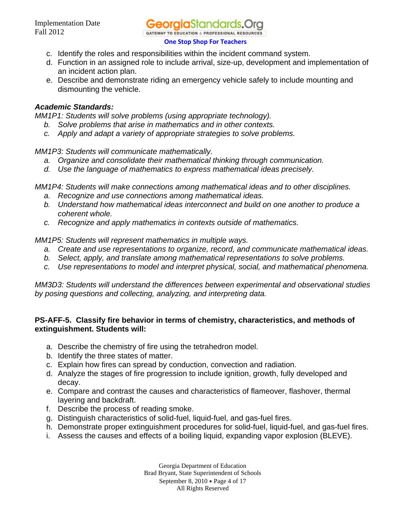

- c. Identify the roles and responsibilities within the incident command system.
- d. Function in an assigned role to include arrival, size-up, development and implementation of an incident action plan.
- e. Describe and demonstrate riding an emergency vehicle safely to include mounting and dismounting the vehicle.

*MM1P1: Students will solve problems (using appropriate technology).* 

- *b. Solve problems that arise in mathematics and in other contexts.*
- *c. Apply and adapt a variety of appropriate strategies to solve problems.*

*MM1P3: Students will communicate mathematically.*

- *a. Organize and consolidate their mathematical thinking through communication.*
- *d. Use the language of mathematics to express mathematical ideas precisely.*

*MM1P4: Students will make connections among mathematical ideas and to other disciplines.*

- *a. Recognize and use connections among mathematical ideas.*
- *b. Understand how mathematical ideas interconnect and build on one another to produce a coherent whole.*
- *c. Recognize and apply mathematics in contexts outside of mathematics.*

*MM1P5: Students will represent mathematics in multiple ways.*

- *a. Create and use representations to organize, record, and communicate mathematical ideas.*
- *b. Select, apply, and translate among mathematical representations to solve problems.*
- *c. Use representations to model and interpret physical, social, and mathematical phenomena.*

*MM3D3: Students will understand the differences between experimental and observational studies by posing questions and collecting, analyzing, and interpreting data.* 

### **PS-AFF-5. Classify fire behavior in terms of chemistry, characteristics, and methods of extinguishment. Students will:**

- a. Describe the chemistry of fire using the tetrahedron model.
- b. Identify the three states of matter.
- c. Explain how fires can spread by conduction, convection and radiation.
- d. Analyze the stages of fire progression to include ignition, growth, fully developed and decay.
- e. Compare and contrast the causes and characteristics of flameover, flashover, thermal layering and backdraft.
- f. Describe the process of reading smoke.
- g. Distinguish characteristics of solid-fuel, liquid-fuel, and gas-fuel fires.
- h. Demonstrate proper extinguishment procedures for solid-fuel, liquid-fuel, and gas-fuel fires.
- i. Assess the causes and effects of a boiling liquid, expanding vapor explosion (BLEVE).

Georgia Department of Education Brad Bryant, State Superintendent of Schools September 8, 2010 • Page 4 of 17 All Rights Reserved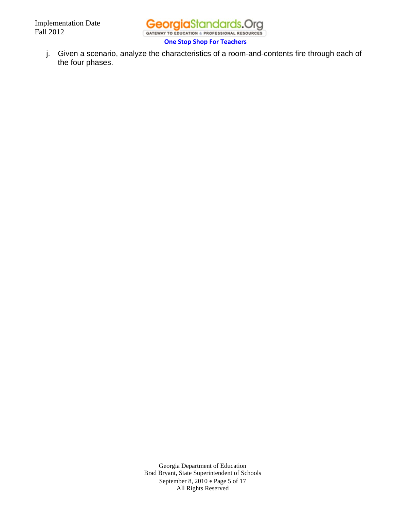

j. Given a scenario, analyze the characteristics of a room-and-contents fire through each of the four phases.

> Georgia Department of Education Brad Bryant, State Superintendent of Schools September 8, 2010 . Page 5 of 17 All Rights Reserved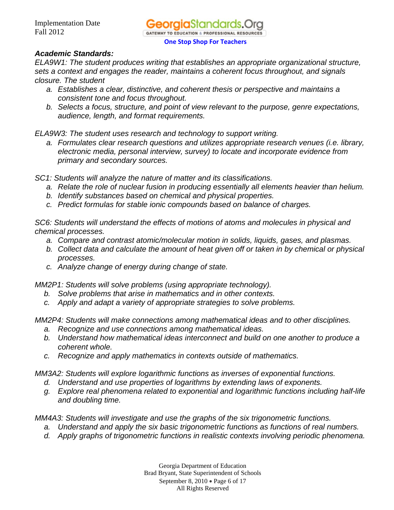*ELA9W1: The student produces writing that establishes an appropriate organizational structure, sets a context and engages the reader, maintains a coherent focus throughout, and signals closure. The student* 

- *a. Establishes a clear, distinctive, and coherent thesis or perspective and maintains a consistent tone and focus throughout.*
- *b. Selects a focus, structure, and point of view relevant to the purpose, genre expectations, audience, length, and format requirements.*

*ELA9W3: The student uses research and technology to support writing.* 

*a. Formulates clear research questions and utilizes appropriate research venues (i.e. library, electronic media, personal interview, survey) to locate and incorporate evidence from primary and secondary sources.* 

*SC1: Students will analyze the nature of matter and its classifications.* 

- *a. Relate the role of nuclear fusion in producing essentially all elements heavier than helium.*
- *b. Identify substances based on chemical and physical properties.*
- *c. Predict formulas for stable ionic compounds based on balance of charges.*

*SC6: Students will understand the effects of motions of atoms and molecules in physical and chemical processes.* 

- *a. Compare and contrast atomic/molecular motion in solids, liquids, gases, and plasmas.*
- *b. Collect data and calculate the amount of heat given off or taken in by chemical or physical processes.*
- *c. Analyze change of energy during change of state.*

*MM2P1: Students will solve problems (using appropriate technology).* 

- *b. Solve problems that arise in mathematics and in other contexts.*
- *c. Apply and adapt a variety of appropriate strategies to solve problems.*

*MM2P4: Students will make connections among mathematical ideas and to other disciplines.* 

- *a. Recognize and use connections among mathematical ideas.*
- *b. Understand how mathematical ideas interconnect and build on one another to produce a coherent whole.*
- *c. Recognize and apply mathematics in contexts outside of mathematics.*

*MM3A2: Students will explore logarithmic functions as inverses of exponential functions.* 

- *d. Understand and use properties of logarithms by extending laws of exponents.*
- *g. Explore real phenomena related to exponential and logarithmic functions including half-life and doubling time.*

*MM4A3: Students will investigate and use the graphs of the six trigonometric functions.* 

- *a. Understand and apply the six basic trigonometric functions as functions of real numbers.*
- *d. Apply graphs of trigonometric functions in realistic contexts involving periodic phenomena.*

Georgia Department of Education Brad Bryant, State Superintendent of Schools September 8, 2010 • Page 6 of 17 All Rights Reserved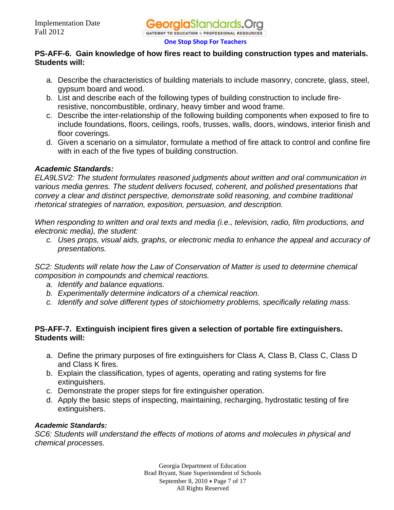### **PS-AFF-6. Gain knowledge of how fires react to building construction types and materials. Students will:**

- a. Describe the characteristics of building materials to include masonry, concrete, glass, steel, gypsum board and wood.
- b. List and describe each of the following types of building construction to include fireresistive, noncombustible, ordinary, heavy timber and wood frame.
- c. Describe the inter-relationship of the following building components when exposed to fire to include foundations, floors, ceilings, roofs, trusses, walls, doors, windows, interior finish and floor coverings.
- d. Given a scenario on a simulator, formulate a method of fire attack to control and confine fire with in each of the five types of building construction.

# *Academic Standards:*

*ELA9LSV2: The student formulates reasoned judgments about written and oral communication in various media genres. The student delivers focused, coherent, and polished presentations that convey a clear and distinct perspective, demonstrate solid reasoning, and combine traditional rhetorical strategies of narration, exposition, persuasion, and description.* 

*When responding to written and oral texts and media (i.e., television, radio, film productions, and electronic media), the student:* 

*c. Uses props, visual aids, graphs, or electronic media to enhance the appeal and accuracy of presentations.* 

*SC2: Students will relate how the Law of Conservation of Matter is used to determine chemical composition in compounds and chemical reactions.* 

- *a. Identify and balance equations.*
- *b. Experimentally determine indicators of a chemical reaction.*
- *c. Identify and solve different types of stoichiometry problems, specifically relating mass.*

# **PS-AFF-7. Extinguish incipient fires given a selection of portable fire extinguishers. Students will:**

- a. Define the primary purposes of fire extinguishers for Class A, Class B, Class C, Class D and Class K fires.
- b. Explain the classification, types of agents, operating and rating systems for fire extinguishers.
- c. Demonstrate the proper steps for fire extinguisher operation.
- d. Apply the basic steps of inspecting, maintaining, recharging, hydrostatic testing of fire extinguishers.

### *Academic Standards:*

*SC6: Students will understand the effects of motions of atoms and molecules in physical and chemical processes.* 

> Georgia Department of Education Brad Bryant, State Superintendent of Schools September 8, 2010 • Page 7 of 17 All Rights Reserved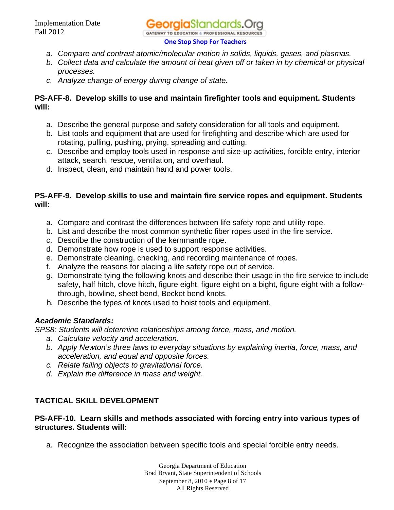

- *a. Compare and contrast atomic/molecular motion in solids, liquids, gases, and plasmas.*
- *b. Collect data and calculate the amount of heat given off or taken in by chemical or physical processes.*
- *c. Analyze change of energy during change of state.*

## **PS-AFF-8. Develop skills to use and maintain firefighter tools and equipment. Students will:**

- a. Describe the general purpose and safety consideration for all tools and equipment.
- b. List tools and equipment that are used for firefighting and describe which are used for rotating, pulling, pushing, prying, spreading and cutting.
- c. Describe and employ tools used in response and size-up activities, forcible entry, interior attack, search, rescue, ventilation, and overhaul.
- d. Inspect, clean, and maintain hand and power tools.

### **PS-AFF-9. Develop skills to use and maintain fire service ropes and equipment. Students will:**

- a. Compare and contrast the differences between life safety rope and utility rope.
- b. List and describe the most common synthetic fiber ropes used in the fire service.
- c. Describe the construction of the kernmantle rope.
- d. Demonstrate how rope is used to support response activities.
- e. Demonstrate cleaning, checking, and recording maintenance of ropes.
- f. Analyze the reasons for placing a life safety rope out of service.
- g. Demonstrate tying the following knots and describe their usage in the fire service to include safety, half hitch, clove hitch, figure eight, figure eight on a bight, figure eight with a followthrough, bowline, sheet bend, Becket bend knots.
- h. Describe the types of knots used to hoist tools and equipment.

# *Academic Standards:*

*SPS8: Students will determine relationships among force, mass, and motion.* 

- *a. Calculate velocity and acceleration.*
- *b. Apply Newton's three laws to everyday situations by explaining inertia, force, mass, and acceleration, and equal and opposite forces.*
- *c. Relate falling objects to gravitational force.*
- *d. Explain the difference in mass and weight.*

# **TACTICAL SKILL DEVELOPMENT**

### **PS-AFF-10. Learn skills and methods associated with forcing entry into various types of structures. Students will:**

a. Recognize the association between specific tools and special forcible entry needs.

Georgia Department of Education Brad Bryant, State Superintendent of Schools September 8, 2010 • Page 8 of 17 All Rights Reserved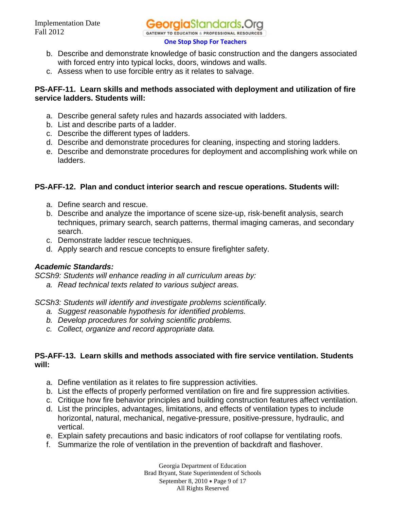

- b. Describe and demonstrate knowledge of basic construction and the dangers associated with forced entry into typical locks, doors, windows and walls.
- c. Assess when to use forcible entry as it relates to salvage.

### **PS-AFF-11. Learn skills and methods associated with deployment and utilization of fire service ladders. Students will:**

- a. Describe general safety rules and hazards associated with ladders.
- b. List and describe parts of a ladder.
- c. Describe the different types of ladders.
- d. Describe and demonstrate procedures for cleaning, inspecting and storing ladders.
- e. Describe and demonstrate procedures for deployment and accomplishing work while on ladders.

### **PS-AFF-12. Plan and conduct interior search and rescue operations. Students will:**

- a. Define search and rescue.
- b. Describe and analyze the importance of scene size-up, risk-benefit analysis, search techniques, primary search, search patterns, thermal imaging cameras, and secondary search.
- c. Demonstrate ladder rescue techniques.
- d. Apply search and rescue concepts to ensure firefighter safety.

### *Academic Standards:*

*SCSh9: Students will enhance reading in all curriculum areas by:* 

*a. Read technical texts related to various subject areas.* 

*SCSh3: Students will identify and investigate problems scientifically.* 

- *a. Suggest reasonable hypothesis for identified problems.*
- *b. Develop procedures for solving scientific problems.*
- *c. Collect, organize and record appropriate data.*

### **PS-AFF-13. Learn skills and methods associated with fire service ventilation. Students will:**

- a. Define ventilation as it relates to fire suppression activities.
- b. List the effects of properly performed ventilation on fire and fire suppression activities.
- c. Critique how fire behavior principles and building construction features affect ventilation.
- d. List the principles, advantages, limitations, and effects of ventilation types to include horizontal, natural, mechanical, negative-pressure, positive-pressure, hydraulic, and vertical.
- e. Explain safety precautions and basic indicators of roof collapse for ventilating roofs.
- f. Summarize the role of ventilation in the prevention of backdraft and flashover.

Georgia Department of Education Brad Bryant, State Superintendent of Schools September 8, 2010 • Page 9 of 17 All Rights Reserved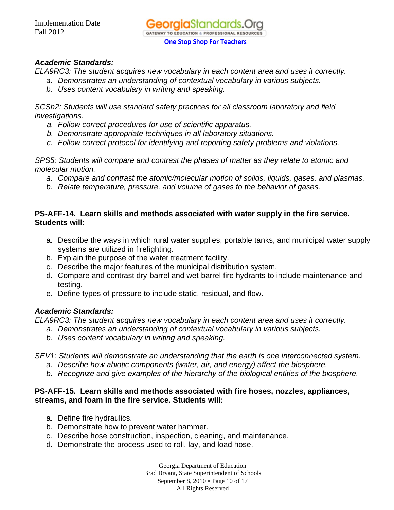*ELA9RC3: The student acquires new vocabulary in each content area and uses it correctly.* 

- *a. Demonstrates an understanding of contextual vocabulary in various subjects.*
- *b. Uses content vocabulary in writing and speaking.*

*SCSh2: Students will use standard safety practices for all classroom laboratory and field investigations.* 

- *a. Follow correct procedures for use of scientific apparatus.*
- *b. Demonstrate appropriate techniques in all laboratory situations.*
- *c. Follow correct protocol for identifying and reporting safety problems and violations.*

*SPS5: Students will compare and contrast the phases of matter as they relate to atomic and molecular motion.* 

- *a. Compare and contrast the atomic/molecular motion of solids, liquids, gases, and plasmas.*
- *b. Relate temperature, pressure, and volume of gases to the behavior of gases.*

### **PS-AFF-14. Learn skills and methods associated with water supply in the fire service. Students will:**

- a. Describe the ways in which rural water supplies, portable tanks, and municipal water supply systems are utilized in firefighting.
- b. Explain the purpose of the water treatment facility.
- c. Describe the major features of the municipal distribution system.
- d. Compare and contrast dry-barrel and wet-barrel fire hydrants to include maintenance and testing.
- e. Define types of pressure to include static, residual, and flow.

### *Academic Standards:*

*ELA9RC3: The student acquires new vocabulary in each content area and uses it correctly.* 

- *a. Demonstrates an understanding of contextual vocabulary in various subjects.*
- *b. Uses content vocabulary in writing and speaking.*

*SEV1: Students will demonstrate an understanding that the earth is one interconnected system.* 

- *a. Describe how abiotic components (water, air, and energy) affect the biosphere.*
- *b. Recognize and give examples of the hierarchy of the biological entities of the biosphere.*

### **PS-AFF-15. Learn skills and methods associated with fire hoses, nozzles, appliances, streams, and foam in the fire service. Students will:**

- a. Define fire hydraulics.
- b. Demonstrate how to prevent water hammer.
- c. Describe hose construction, inspection, cleaning, and maintenance.
- d. Demonstrate the process used to roll, lay, and load hose.

Georgia Department of Education Brad Bryant, State Superintendent of Schools September 8, 2010 • Page 10 of 17 All Rights Reserved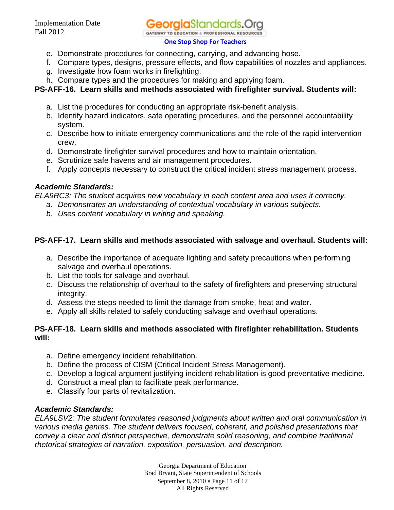**eoraia**Standards.( **GATEWAY TO EDUCATION & PROFESSIONAL RESOURCES** 

#### **One Stop Shop For Teachers**

- e. Demonstrate procedures for connecting, carrying, and advancing hose.
- f. Compare types, designs, pressure effects, and flow capabilities of nozzles and appliances.
- g. Investigate how foam works in firefighting.
- h. Compare types and the procedures for making and applying foam.

# **PS-AFF-16. Learn skills and methods associated with firefighter survival. Students will:**

- a. List the procedures for conducting an appropriate risk-benefit analysis.
- b. Identify hazard indicators, safe operating procedures, and the personnel accountability system.
- c. Describe how to initiate emergency communications and the role of the rapid intervention crew.
- d. Demonstrate firefighter survival procedures and how to maintain orientation.
- e. Scrutinize safe havens and air management procedures.
- f. Apply concepts necessary to construct the critical incident stress management process.

# *Academic Standards:*

*ELA9RC3: The student acquires new vocabulary in each content area and uses it correctly.* 

- *a. Demonstrates an understanding of contextual vocabulary in various subjects.*
- *b. Uses content vocabulary in writing and speaking.*

# **PS-AFF-17. Learn skills and methods associated with salvage and overhaul. Students will:**

- a. Describe the importance of adequate lighting and safety precautions when performing salvage and overhaul operations.
- b. List the tools for salvage and overhaul.
- c. Discuss the relationship of overhaul to the safety of firefighters and preserving structural integrity.
- d. Assess the steps needed to limit the damage from smoke, heat and water.
- e. Apply all skills related to safely conducting salvage and overhaul operations.

# **PS-AFF-18. Learn skills and methods associated with firefighter rehabilitation. Students will:**

- a. Define emergency incident rehabilitation.
- b. Define the process of CISM (Critical Incident Stress Management).
- c. Develop a logical argument justifying incident rehabilitation is good preventative medicine.
- d. Construct a meal plan to facilitate peak performance.
- e. Classify four parts of revitalization.

# *Academic Standards:*

*ELA9LSV2: The student formulates reasoned judgments about written and oral communication in various media genres. The student delivers focused, coherent, and polished presentations that convey a clear and distinct perspective, demonstrate solid reasoning, and combine traditional rhetorical strategies of narration, exposition, persuasion, and description.* 

> Georgia Department of Education Brad Bryant, State Superintendent of Schools September 8, 2010 • Page 11 of 17 All Rights Reserved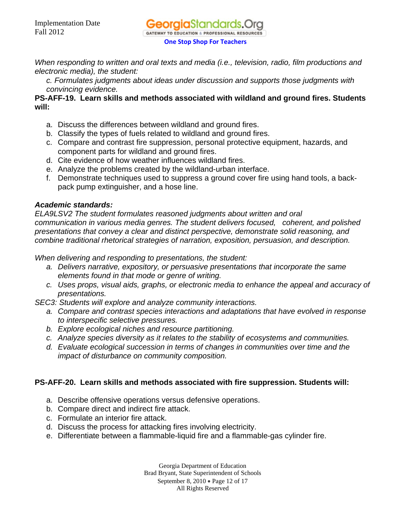

*When responding to written and oral texts and media (i.e., television, radio, film productions and electronic media), the student:* 

*c. Formulates judgments about ideas under discussion and supports those judgments with convincing evidence.* 

### **PS-AFF-19. Learn skills and methods associated with wildland and ground fires. Students will:**

- a. Discuss the differences between wildland and ground fires.
- b. Classify the types of fuels related to wildland and ground fires.
- c. Compare and contrast fire suppression, personal protective equipment, hazards, and component parts for wildland and ground fires.
- d. Cite evidence of how weather influences wildland fires.
- e. Analyze the problems created by the wildland-urban interface.
- f. Demonstrate techniques used to suppress a ground cover fire using hand tools, a backpack pump extinguisher, and a hose line.

### *Academic standards:*

*ELA9LSV2 The student formulates reasoned judgments about written and oral communication in various media genres. The student delivers focused, coherent, and polished presentations that convey a clear and distinct perspective, demonstrate solid reasoning, and combine traditional rhetorical strategies of narration, exposition, persuasion, and description.* 

*When delivering and responding to presentations, the student:* 

- *a. Delivers narrative, expository, or persuasive presentations that incorporate the same elements found in that mode or genre of writing.*
- *c. Uses props, visual aids, graphs, or electronic media to enhance the appeal and accuracy of presentations.*
- *SEC3: Students will explore and analyze community interactions.* 
	- *a. Compare and contrast species interactions and adaptations that have evolved in response to interspecific selective pressures.*
	- *b. Explore ecological niches and resource partitioning.*
	- *c. Analyze species diversity as it relates to the stability of ecosystems and communities.*
	- *d. Evaluate ecological succession in terms of changes in communities over time and the impact of disturbance on community composition.*

# **PS-AFF-20. Learn skills and methods associated with fire suppression. Students will:**

- a. Describe offensive operations versus defensive operations.
- b. Compare direct and indirect fire attack.
- c. Formulate an interior fire attack.
- d. Discuss the process for attacking fires involving electricity.
- e. Differentiate between a flammable-liquid fire and a flammable-gas cylinder fire.

Georgia Department of Education Brad Bryant, State Superintendent of Schools September 8, 2010 • Page 12 of 17 All Rights Reserved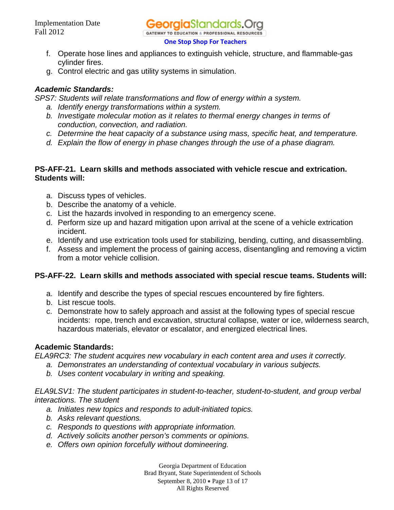

- f. Operate hose lines and appliances to extinguish vehicle, structure, and flammable-gas cylinder fires.
- g. Control electric and gas utility systems in simulation.

# *Academic Standards:*

*SPS7: Students will relate transformations and flow of energy within a system.* 

- *a. Identify energy transformations within a system.*
- *b. Investigate molecular motion as it relates to thermal energy changes in terms of conduction, convection, and radiation.*
- *c. Determine the heat capacity of a substance using mass, specific heat, and temperature.*
- *d. Explain the flow of energy in phase changes through the use of a phase diagram.*

### **PS-AFF-21. Learn skills and methods associated with vehicle rescue and extrication. Students will:**

- a. Discuss types of vehicles.
- b. Describe the anatomy of a vehicle.
- c. List the hazards involved in responding to an emergency scene.
- d. Perform size up and hazard mitigation upon arrival at the scene of a vehicle extrication incident.
- e. Identify and use extrication tools used for stabilizing, bending, cutting, and disassembling.
- f. Assess and implement the process of gaining access, disentangling and removing a victim from a motor vehicle collision.

# **PS-AFF-22. Learn skills and methods associated with special rescue teams. Students will:**

- a. Identify and describe the types of special rescues encountered by fire fighters.
- b. List rescue tools.
- c. Demonstrate how to safely approach and assist at the following types of special rescue incidents: rope, trench and excavation, structural collapse, water or ice, wilderness search, hazardous materials, elevator or escalator, and energized electrical lines.

# **Academic Standards:**

*ELA9RC3: The student acquires new vocabulary in each content area and uses it correctly.* 

- *a. Demonstrates an understanding of contextual vocabulary in various subjects.*
- *b. Uses content vocabulary in writing and speaking.*

*ELA9LSV1: The student participates in student-to-teacher, student-to-student, and group verbal interactions. The student* 

- *a. Initiates new topics and responds to adult-initiated topics.*
- *b. Asks relevant questions.*
- *c. Responds to questions with appropriate information.*
- *d. Actively solicits another person's comments or opinions.*
- *e. Offers own opinion forcefully without domineering.*

Georgia Department of Education Brad Bryant, State Superintendent of Schools September 8, 2010 • Page 13 of 17 All Rights Reserved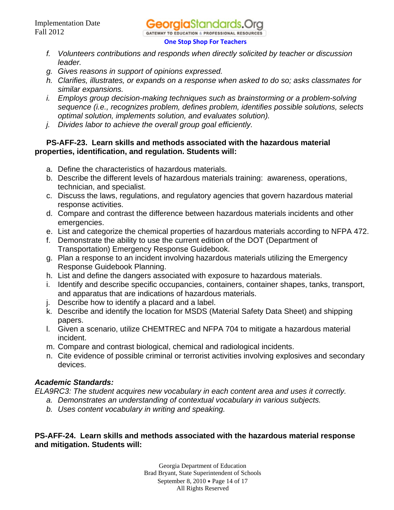- *f. Volunteers contributions and responds when directly solicited by teacher or discussion leader.*
- *g. Gives reasons in support of opinions expressed.*
- *h. Clarifies, illustrates, or expands on a response when asked to do so; asks classmates for similar expansions.*
- *i. Employs group decision-making techniques such as brainstorming or a problem-solving sequence (i.e., recognizes problem, defines problem, identifies possible solutions, selects optimal solution, implements solution, and evaluates solution).*
- *j. Divides labor to achieve the overall group goal efficiently.*

# **PS-AFF-23. Learn skills and methods associated with the hazardous material properties, identification, and regulation. Students will:**

- a. Define the characteristics of hazardous materials.
- b. Describe the different levels of hazardous materials training: awareness, operations, technician, and specialist.
- c. Discuss the laws, regulations, and regulatory agencies that govern hazardous material response activities.
- d. Compare and contrast the difference between hazardous materials incidents and other emergencies.
- e. List and categorize the chemical properties of hazardous materials according to NFPA 472.
- f. Demonstrate the ability to use the current edition of the DOT (Department of Transportation) Emergency Response Guidebook.
- g. Plan a response to an incident involving hazardous materials utilizing the Emergency Response Guidebook Planning.
- h. List and define the dangers associated with exposure to hazardous materials.
- i. Identify and describe specific occupancies, containers, container shapes, tanks, transport, and apparatus that are indications of hazardous materials.
- j. Describe how to identify a placard and a label.
- k. Describe and identify the location for MSDS (Material Safety Data Sheet) and shipping papers.
- l. Given a scenario, utilize CHEMTREC and NFPA 704 to mitigate a hazardous material incident.
- m. Compare and contrast biological, chemical and radiological incidents.
- n. Cite evidence of possible criminal or terrorist activities involving explosives and secondary devices.

# *Academic Standards:*

*ELA9RC3: The student acquires new vocabulary in each content area and uses it correctly.* 

- *a. Demonstrates an understanding of contextual vocabulary in various subjects.* 
	- *b. Uses content vocabulary in writing and speaking.*

# **PS-AFF-24. Learn skills and methods associated with the hazardous material response and mitigation. Students will:**

Georgia Department of Education Brad Bryant, State Superintendent of Schools September 8, 2010 • Page 14 of 17 All Rights Reserved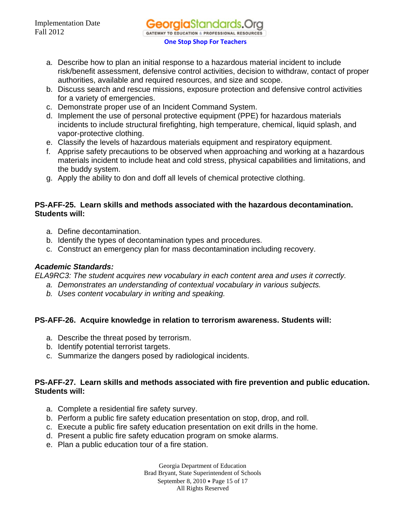- a. Describe how to plan an initial response to a hazardous material incident to include risk/benefit assessment, defensive control activities, decision to withdraw, contact of proper authorities, available and required resources, and size and scope.
- b. Discuss search and rescue missions, exposure protection and defensive control activities for a variety of emergencies.
- c. Demonstrate proper use of an Incident Command System.
- d. Implement the use of personal protective equipment (PPE) for hazardous materials incidents to include structural firefighting, high temperature, chemical, liquid splash, and vapor-protective clothing.
- e. Classify the levels of hazardous materials equipment and respiratory equipment.
- f. Apprise safety precautions to be observed when approaching and working at a hazardous materials incident to include heat and cold stress, physical capabilities and limitations, and the buddy system.
- g. Apply the ability to don and doff all levels of chemical protective clothing.

# **PS-AFF-25. Learn skills and methods associated with the hazardous decontamination. Students will:**

- a. Define decontamination.
- b. Identify the types of decontamination types and procedures.
- c. Construct an emergency plan for mass decontamination including recovery.

# *Academic Standards:*

*ELA9RC3: The student acquires new vocabulary in each content area and uses it correctly.* 

- *a. Demonstrates an understanding of contextual vocabulary in various subjects.*
- *b. Uses content vocabulary in writing and speaking.*

# **PS-AFF-26. Acquire knowledge in relation to terrorism awareness. Students will:**

- a. Describe the threat posed by terrorism.
- b. Identify potential terrorist targets.
- c. Summarize the dangers posed by radiological incidents.

# **PS-AFF-27. Learn skills and methods associated with fire prevention and public education. Students will:**

- a. Complete a residential fire safety survey.
- b. Perform a public fire safety education presentation on stop, drop, and roll.
- c. Execute a public fire safety education presentation on exit drills in the home.
- d. Present a public fire safety education program on smoke alarms.
- e. Plan a public education tour of a fire station.

Georgia Department of Education Brad Bryant, State Superintendent of Schools September 8, 2010 • Page 15 of 17 All Rights Reserved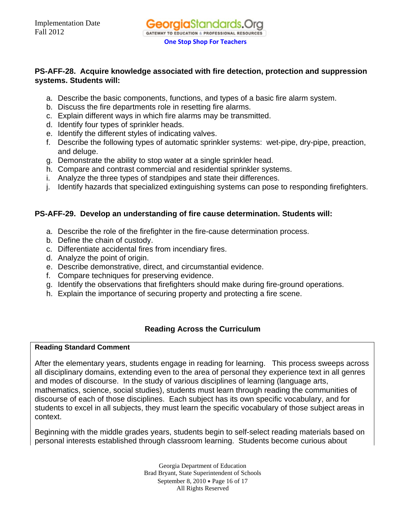# **PS-AFF-28. Acquire knowledge associated with fire detection, protection and suppression systems. Students will:**

- a. Describe the basic components, functions, and types of a basic fire alarm system.
- b. Discuss the fire departments role in resetting fire alarms.
- c. Explain different ways in which fire alarms may be transmitted.
- d. Identify four types of sprinkler heads.
- e. Identify the different styles of indicating valves.
- f. Describe the following types of automatic sprinkler systems: wet-pipe, dry-pipe, preaction, and deluge.
- g. Demonstrate the ability to stop water at a single sprinkler head.
- h. Compare and contrast commercial and residential sprinkler systems.
- i. Analyze the three types of standpipes and state their differences.
- j. Identify hazards that specialized extinguishing systems can pose to responding firefighters.

# **PS-AFF-29. Develop an understanding of fire cause determination. Students will:**

- a. Describe the role of the firefighter in the fire-cause determination process.
- b. Define the chain of custody.
- c. Differentiate accidental fires from incendiary fires.
- d. Analyze the point of origin.
- e. Describe demonstrative, direct, and circumstantial evidence.
- f. Compare techniques for preserving evidence.
- g. Identify the observations that firefighters should make during fire-ground operations.
- h. Explain the importance of securing property and protecting a fire scene.

# **Reading Across the Curriculum**

### **Reading Standard Comment**

After the elementary years, students engage in reading for learning. This process sweeps across all disciplinary domains, extending even to the area of personal they experience text in all genres and modes of discourse. In the study of various disciplines of learning (language arts, mathematics, science, social studies), students must learn through reading the communities of discourse of each of those disciplines. Each subject has its own specific vocabulary, and for students to excel in all subjects, they must learn the specific vocabulary of those subject areas in context.

Beginning with the middle grades years, students begin to self-select reading materials based on personal interests established through classroom learning. Students become curious about

> Georgia Department of Education Brad Bryant, State Superintendent of Schools September 8, 2010 • Page 16 of 17 All Rights Reserved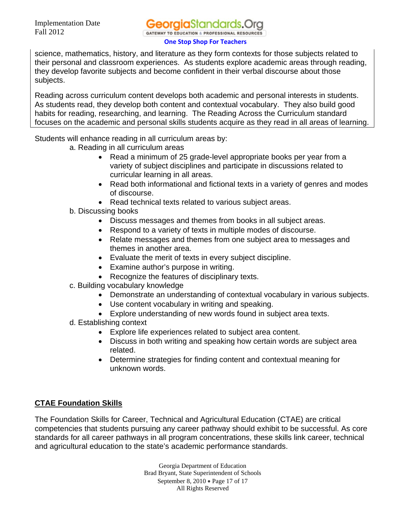science, mathematics, history, and literature as they form contexts for those subjects related to their personal and classroom experiences. As students explore academic areas through reading, they develop favorite subjects and become confident in their verbal discourse about those subjects.

Reading across curriculum content develops both academic and personal interests in students. As students read, they develop both content and contextual vocabulary. They also build good habits for reading, researching, and learning. The Reading Across the Curriculum standard focuses on the academic and personal skills students acquire as they read in all areas of learning.

Students will enhance reading in all curriculum areas by:

- a. Reading in all curriculum areas
	- Read a minimum of 25 grade-level appropriate books per year from a variety of subject disciplines and participate in discussions related to curricular learning in all areas.
	- Read both informational and fictional texts in a variety of genres and modes of discourse.
	- Read technical texts related to various subject areas.
- b. Discussing books
	- Discuss messages and themes from books in all subject areas.
	- Respond to a variety of texts in multiple modes of discourse.
	- Relate messages and themes from one subject area to messages and themes in another area.
	- Evaluate the merit of texts in every subject discipline.
	- Examine author's purpose in writing.
	- Recognize the features of disciplinary texts.
- c. Building vocabulary knowledge
	- Demonstrate an understanding of contextual vocabulary in various subjects.
	- Use content vocabulary in writing and speaking.
	- Explore understanding of new words found in subject area texts.
- d. Establishing context
	- Explore life experiences related to subject area content.
	- Discuss in both writing and speaking how certain words are subject area related.
	- Determine strategies for finding content and contextual meaning for unknown words.

# **CTAE Foundation Skills**

The Foundation Skills for Career, Technical and Agricultural Education (CTAE) are critical competencies that students pursuing any career pathway should exhibit to be successful. As core standards for all career pathways in all program concentrations, these skills link career, technical and agricultural education to the state's academic performance standards.

> Georgia Department of Education Brad Bryant, State Superintendent of Schools September 8, 2010 • Page 17 of 17 All Rights Reserved